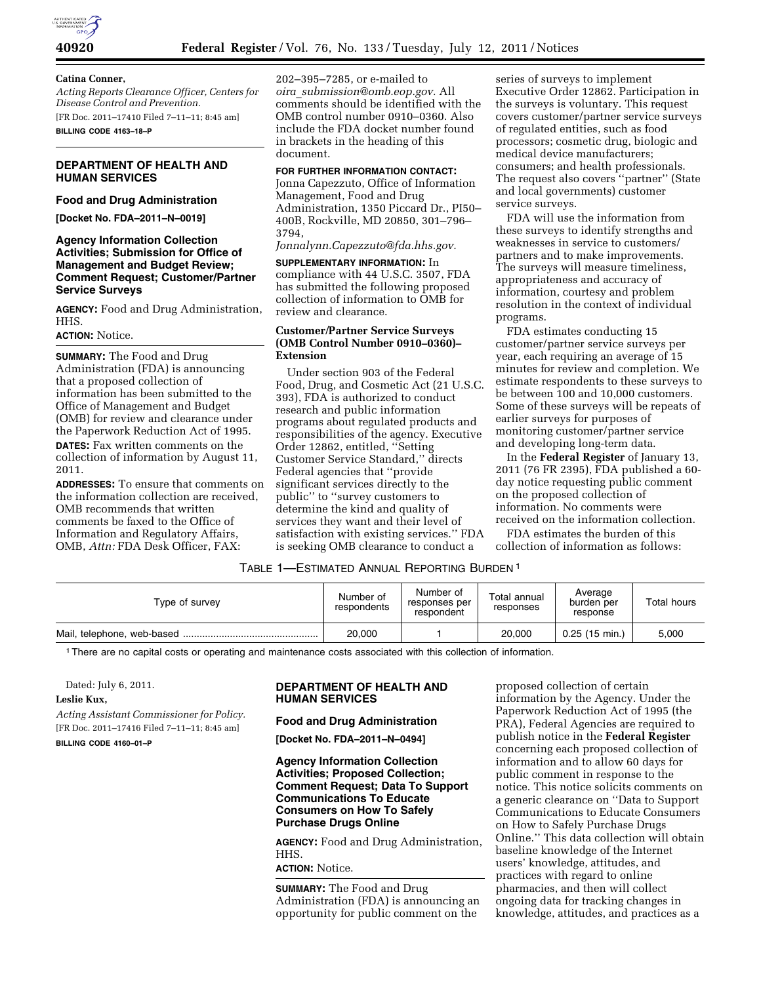

## **Catina Conner,**

*Acting Reports Clearance Officer, Centers for Disease Control and Prevention.*  [FR Doc. 2011–17410 Filed 7–11–11; 8:45 am] **BILLING CODE 4163–18–P** 

## **DEPARTMENT OF HEALTH AND HUMAN SERVICES**

# **Food and Drug Administration**

**[Docket No. FDA–2011–N–0019]** 

## **Agency Information Collection Activities; Submission for Office of Management and Budget Review; Comment Request; Customer/Partner Service Surveys**

**AGENCY:** Food and Drug Administration, HHS.

#### **ACTION:** Notice.

**SUMMARY:** The Food and Drug Administration (FDA) is announcing that a proposed collection of information has been submitted to the Office of Management and Budget (OMB) for review and clearance under the Paperwork Reduction Act of 1995. **DATES:** Fax written comments on the collection of information by August 11, 2011.

**ADDRESSES:** To ensure that comments on the information collection are received, OMB recommends that written comments be faxed to the Office of Information and Regulatory Affairs, OMB, *Attn:* FDA Desk Officer, FAX:

202–395–7285, or e-mailed to *oira*\_*[submission@omb.eop.gov.](mailto:oira_submission@omb.eop.gov)* All comments should be identified with the OMB control number 0910–0360. Also include the FDA docket number found in brackets in the heading of this document.

## **FOR FURTHER INFORMATION CONTACT:**

Jonna Capezzuto, Office of Information Management, Food and Drug Administration, 1350 Piccard Dr., PI50– 400B, Rockville, MD 20850, 301–796– 3794,

## *[Jonnalynn.Capezzuto@fda.hhs.gov.](mailto:Jonnalynn.Capezzuto@fda.hhs.gov)*

**SUPPLEMENTARY INFORMATION:** In compliance with 44 U.S.C. 3507, FDA has submitted the following proposed collection of information to OMB for review and clearance.

## **Customer/Partner Service Surveys (OMB Control Number 0910–0360)– Extension**

Under section 903 of the Federal Food, Drug, and Cosmetic Act (21 U.S.C. 393), FDA is authorized to conduct research and public information programs about regulated products and responsibilities of the agency. Executive Order 12862, entitled, ''Setting Customer Service Standard,'' directs Federal agencies that ''provide significant services directly to the public'' to ''survey customers to determine the kind and quality of services they want and their level of satisfaction with existing services.'' FDA is seeking OMB clearance to conduct a

series of surveys to implement Executive Order 12862. Participation in the surveys is voluntary. This request covers customer/partner service surveys of regulated entities, such as food processors; cosmetic drug, biologic and medical device manufacturers; consumers; and health professionals. The request also covers ''partner'' (State and local governments) customer service surveys.

FDA will use the information from these surveys to identify strengths and weaknesses in service to customers/ partners and to make improvements. The surveys will measure timeliness, appropriateness and accuracy of information, courtesy and problem resolution in the context of individual programs.

FDA estimates conducting 15 customer/partner service surveys per year, each requiring an average of 15 minutes for review and completion. We estimate respondents to these surveys to be between 100 and 10,000 customers. Some of these surveys will be repeats of earlier surveys for purposes of monitoring customer/partner service and developing long-term data.

In the **Federal Register** of January 13, 2011 (76 FR 2395), FDA published a 60 day notice requesting public comment on the proposed collection of information. No comments were received on the information collection.

FDA estimates the burden of this collection of information as follows:

## TABLE 1—ESTIMATED ANNUAL REPORTING BURDEN 1

| Type of survey | Number of<br>respondents | Number of<br>responses per<br>respondent | Total annual<br>responses | Average<br>burden per<br>response | Total hours |
|----------------|--------------------------|------------------------------------------|---------------------------|-----------------------------------|-------------|
|                | 20,000                   |                                          | 20,000                    | $0.25(15 \text{ min.})$           | 5,000       |

1There are no capital costs or operating and maintenance costs associated with this collection of information.

#### Dated: July 6, 2011.

#### **Leslie Kux,**

*Acting Assistant Commissioner for Policy.*  [FR Doc. 2011–17416 Filed 7–11–11; 8:45 am] **BILLING CODE 4160–01–P** 

## **DEPARTMENT OF HEALTH AND HUMAN SERVICES**

#### **Food and Drug Administration**

**[Docket No. FDA–2011–N–0494]** 

## **Agency Information Collection Activities; Proposed Collection; Comment Request; Data To Support Communications To Educate Consumers on How To Safely Purchase Drugs Online**

**AGENCY:** Food and Drug Administration, HHS.

**ACTION:** Notice.

**SUMMARY:** The Food and Drug Administration (FDA) is announcing an opportunity for public comment on the

proposed collection of certain information by the Agency. Under the Paperwork Reduction Act of 1995 (the PRA), Federal Agencies are required to publish notice in the **Federal Register**  concerning each proposed collection of information and to allow 60 days for public comment in response to the notice. This notice solicits comments on a generic clearance on ''Data to Support Communications to Educate Consumers on How to Safely Purchase Drugs Online.'' This data collection will obtain baseline knowledge of the Internet users' knowledge, attitudes, and practices with regard to online pharmacies, and then will collect ongoing data for tracking changes in knowledge, attitudes, and practices as a